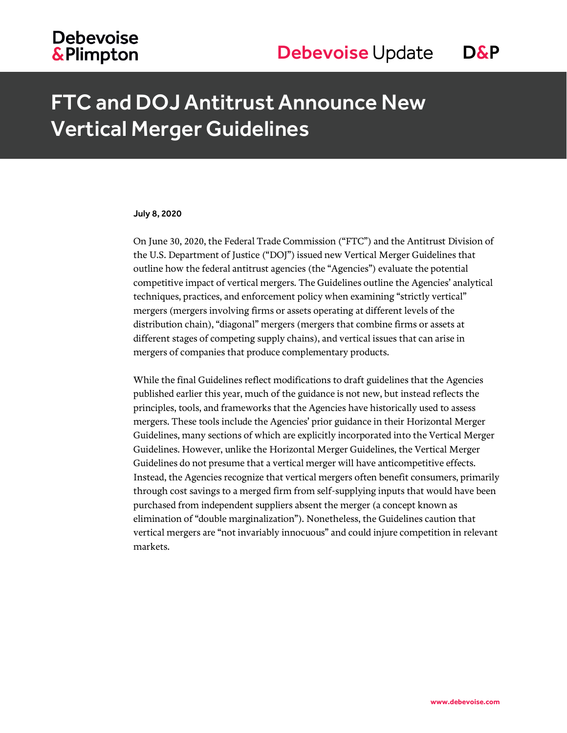# FTC and DOJ Antitrust Announce New Vertical Merger Guidelines

# July 8, 2020

On June 30, 2020, the Federal Trade Commission ("FTC") and the Antitrust Division of the U.S. Department of Justice ("DOJ") issued new Vertical Merger Guidelines that outline how the federal antitrust agencies (the "Agencies") evaluate the potential competitive impact of vertical mergers. The Guidelines outline the Agencies' analytical techniques, practices, and enforcement policy when examining "strictly vertical" mergers (mergers involving firms or assets operating at different levels of the distribution chain), "diagonal" mergers (mergers that combine firms or assets at different stages of competing supply chains), and vertical issues that can arise in mergers of companies that produce complementary products.

While the final Guidelines reflect modifications to draft guidelines that the Agencies published earlier this year, much of the guidance is not new, but instead reflects the principles, tools, and frameworks that the Agencies have historically used to assess mergers. These tools include the Agencies' prior guidance in their Horizontal Merger Guidelines, many sections of which are explicitly incorporated into the Vertical Merger Guidelines. However, unlike the Horizontal Merger Guidelines, the Vertical Merger Guidelines do not presume that a vertical merger will have anticompetitive effects. Instead, the Agencies recognize that vertical mergers often benefit consumers, primarily through cost savings to a merged firm from self-supplying inputs that would have been purchased from independent suppliers absent the merger (a concept known as elimination of "double marginalization"). Nonetheless, the Guidelines caution that vertical mergers are "not invariably innocuous" and could injure competition in relevant markets.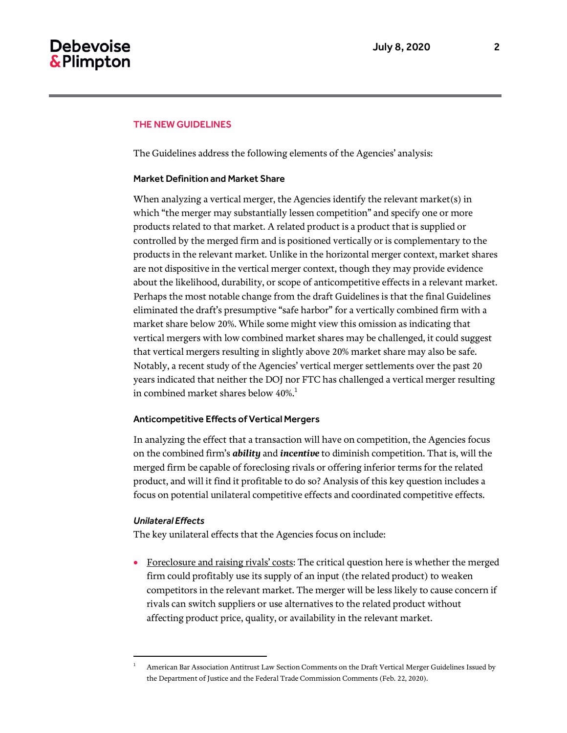# THE NEW GUIDELINES

The Guidelines address the following elements of the Agencies' analysis:

# Market Definition and Market Share

When analyzing a vertical merger, the Agencies identify the relevant market(s) in which "the merger may substantially lessen competition" and specify one or more products related to that market. A related product is a product that is supplied or controlled by the merged firm and is positioned vertically or is complementary to the products in the relevant market. Unlike in the horizontal merger context, market shares are not dispositive in the vertical merger context, though they may provide evidence about the likelihood, durability, or scope of anticompetitive effects in a relevant market. Perhaps the most notable change from the draft Guidelines is that the final Guidelines eliminated the draft's presumptive "safe harbor" for a vertically combined firm with a market share below 20%. While some might view this omission as indicating that vertical mergers with low combined market shares may be challenged, it could suggest that vertical mergers resulting in slightly above 20% market share may also be safe. Notably, a recent study of the Agencies' vertical merger settlements over the past 20 years indicated that neither the DOJ nor FTC has challenged a vertical merger resulting in combined market shares below  $40\%$ <sup>1</sup>

# Anticompetitive Effects of Vertical Mergers

In analyzing the effect that a transaction will have on competition, the Agencies focus on the combined firm's *ability* and *incentive* to diminish competition. That is, will the merged firm be capable of foreclosing rivals or offering inferior terms for the related product, and will it find it profitable to do so? Analysis of this key question includes a focus on potential unilateral competitive effects and coordinated competitive effects.

# *Unilateral Effects*

 $\overline{a}$ 

The key unilateral effects that the Agencies focus on include:

 Foreclosure and raising rivals' costs: The critical question here is whether the merged firm could profitably use its supply of an input (the related product) to weaken competitors in the relevant market. The merger will be less likely to cause concern if rivals can switch suppliers or use alternatives to the related product without affecting product price, quality, or availability in the relevant market.

<sup>1</sup> American Bar Association Antitrust Law Section Comments on the Draft Vertical Merger Guidelines Issued by the Department of Justice and the Federal Trade Commission Comments (Feb. 22, 2020).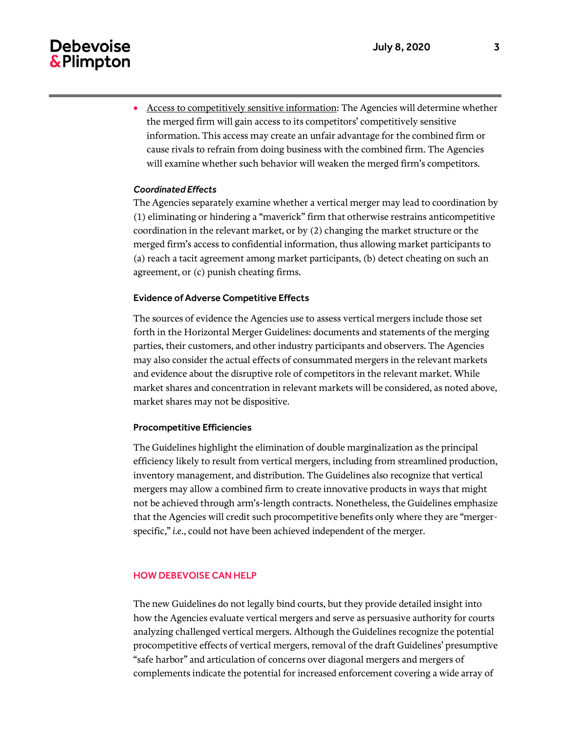# **Debevoise** & Plimpton

 Access to competitively sensitive information: The Agencies will determine whether the merged firm will gain access to its competitors' competitively sensitive information. This access may create an unfair advantage for the combined firm or cause rivals to refrain from doing business with the combined firm. The Agencies will examine whether such behavior will weaken the merged firm's competitors.

# *Coordinated Effects*

The Agencies separately examine whether a vertical merger may lead to coordination by (1) eliminating or hindering a "maverick" firm that otherwise restrains anticompetitive coordination in the relevant market, or by (2) changing the market structure or the merged firm's access to confidential information, thus allowing market participants to (a) reach a tacit agreement among market participants, (b) detect cheating on such an agreement, or (c) punish cheating firms.

# Evidence of Adverse Competitive Effects

The sources of evidence the Agencies use to assess vertical mergers include those set forth in the Horizontal Merger Guidelines: documents and statements of the merging parties, their customers, and other industry participants and observers. The Agencies may also consider the actual effects of consummated mergers in the relevant markets and evidence about the disruptive role of competitors in the relevant market. While market shares and concentration in relevant markets will be considered, as noted above, market shares may not be dispositive.

# Procompetitive Efficiencies

The Guidelines highlight the elimination of double marginalization as the principal efficiency likely to result from vertical mergers, including from streamlined production, inventory management, and distribution. The Guidelines also recognize that vertical mergers may allow a combined firm to create innovative products in ways that might not be achieved through arm's-length contracts. Nonetheless, the Guidelines emphasize that the Agencies will credit such procompetitive benefits only where they are "mergerspecific," *i.e.*, could not have been achieved independent of the merger.

# HOW DEBEVOISE CAN HELP

The new Guidelines do not legally bind courts, but they provide detailed insight into how the Agencies evaluate vertical mergers and serve as persuasive authority for courts analyzing challenged vertical mergers. Although the Guidelines recognize the potential procompetitive effects of vertical mergers, removal of the draft Guidelines' presumptive "safe harbor" and articulation of concerns over diagonal mergers and mergers of complements indicate the potential for increased enforcement covering a wide array of